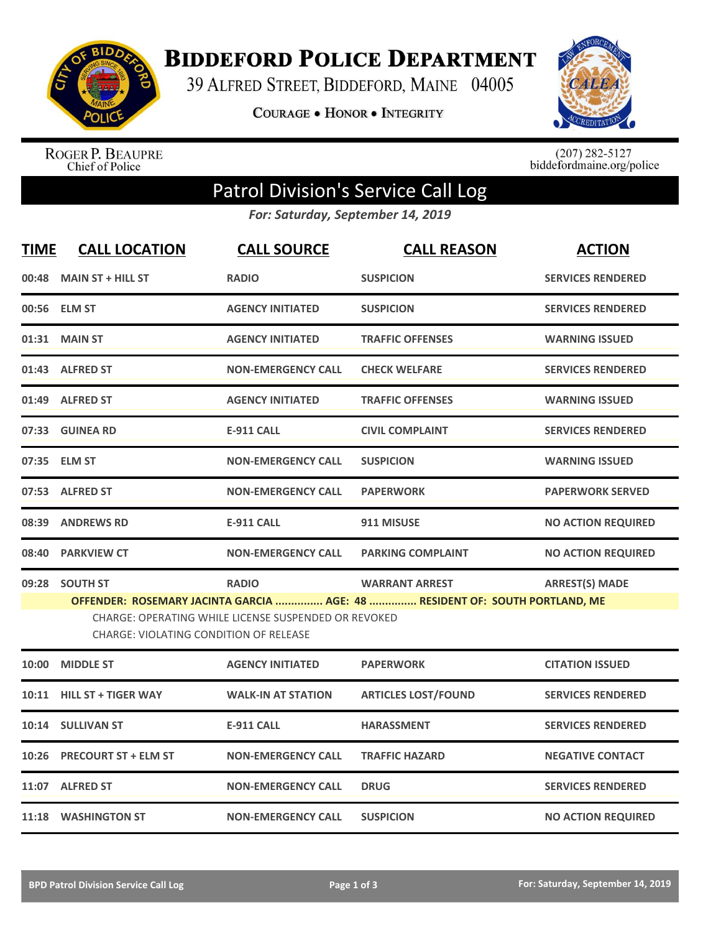

**BIDDEFORD POLICE DEPARTMENT** 

39 ALFRED STREET, BIDDEFORD, MAINE 04005

COURAGE . HONOR . INTEGRITY



ROGER P. BEAUPRE<br>Chief of Police

 $(207)$  282-5127<br>biddefordmaine.org/police

## Patrol Division's Service Call Log

*For: Saturday, September 14, 2019*

| <b>TIME</b> | <b>CALL LOCATION</b>                          | <b>CALL SOURCE</b>                                   | <b>CALL REASON</b>                                                          | <b>ACTION</b>             |
|-------------|-----------------------------------------------|------------------------------------------------------|-----------------------------------------------------------------------------|---------------------------|
|             | 00:48 MAIN ST + HILL ST                       | <b>RADIO</b>                                         | <b>SUSPICION</b>                                                            | <b>SERVICES RENDERED</b>  |
|             | 00:56 ELM ST                                  | <b>AGENCY INITIATED</b>                              | <b>SUSPICION</b>                                                            | <b>SERVICES RENDERED</b>  |
|             | 01:31 MAIN ST                                 | <b>AGENCY INITIATED</b>                              | <b>TRAFFIC OFFENSES</b>                                                     | <b>WARNING ISSUED</b>     |
|             | 01:43 ALFRED ST                               | <b>NON-EMERGENCY CALL</b>                            | <b>CHECK WELFARE</b>                                                        | <b>SERVICES RENDERED</b>  |
|             | 01:49 ALFRED ST                               | <b>AGENCY INITIATED</b>                              | <b>TRAFFIC OFFENSES</b>                                                     | <b>WARNING ISSUED</b>     |
|             | 07:33 GUINEA RD                               | <b>E-911 CALL</b>                                    | <b>CIVIL COMPLAINT</b>                                                      | <b>SERVICES RENDERED</b>  |
|             | 07:35 ELM ST                                  | <b>NON-EMERGENCY CALL</b>                            | <b>SUSPICION</b>                                                            | <b>WARNING ISSUED</b>     |
|             | 07:53 ALFRED ST                               | <b>NON-EMERGENCY CALL</b>                            | <b>PAPERWORK</b>                                                            | <b>PAPERWORK SERVED</b>   |
|             | 08:39 ANDREWS RD                              | <b>E-911 CALL</b>                                    | 911 MISUSE                                                                  | <b>NO ACTION REQUIRED</b> |
|             | 08:40 PARKVIEW CT                             | <b>NON-EMERGENCY CALL</b>                            | <b>PARKING COMPLAINT</b>                                                    | <b>NO ACTION REQUIRED</b> |
|             | 09:28 SOUTH ST                                | <b>RADIO</b>                                         | <b>WARRANT ARREST</b>                                                       | <b>ARREST(S) MADE</b>     |
|             | <b>CHARGE: VIOLATING CONDITION OF RELEASE</b> | CHARGE: OPERATING WHILE LICENSE SUSPENDED OR REVOKED | OFFENDER: ROSEMARY JACINTA GARCIA  AGE: 48  RESIDENT OF: SOUTH PORTLAND, ME |                           |
|             | 10:00 MIDDLE ST                               | <b>AGENCY INITIATED</b>                              | <b>PAPERWORK</b>                                                            | <b>CITATION ISSUED</b>    |
|             | 10:11 HILL ST + TIGER WAY                     | <b>WALK-IN AT STATION</b>                            | <b>ARTICLES LOST/FOUND</b>                                                  | <b>SERVICES RENDERED</b>  |
|             | 10:14 SULLIVAN ST                             | <b>E-911 CALL</b>                                    | <b>HARASSMENT</b>                                                           | <b>SERVICES RENDERED</b>  |
|             | 10:26 PRECOURT ST + ELM ST                    | <b>NON-EMERGENCY CALL</b>                            | <b>TRAFFIC HAZARD</b>                                                       | <b>NEGATIVE CONTACT</b>   |
|             | 11:07 ALFRED ST                               | <b>NON-EMERGENCY CALL</b>                            | <b>DRUG</b>                                                                 | <b>SERVICES RENDERED</b>  |
|             | 11:18 WASHINGTON ST                           | <b>NON-EMERGENCY CALL</b>                            | <b>SUSPICION</b>                                                            | <b>NO ACTION REQUIRED</b> |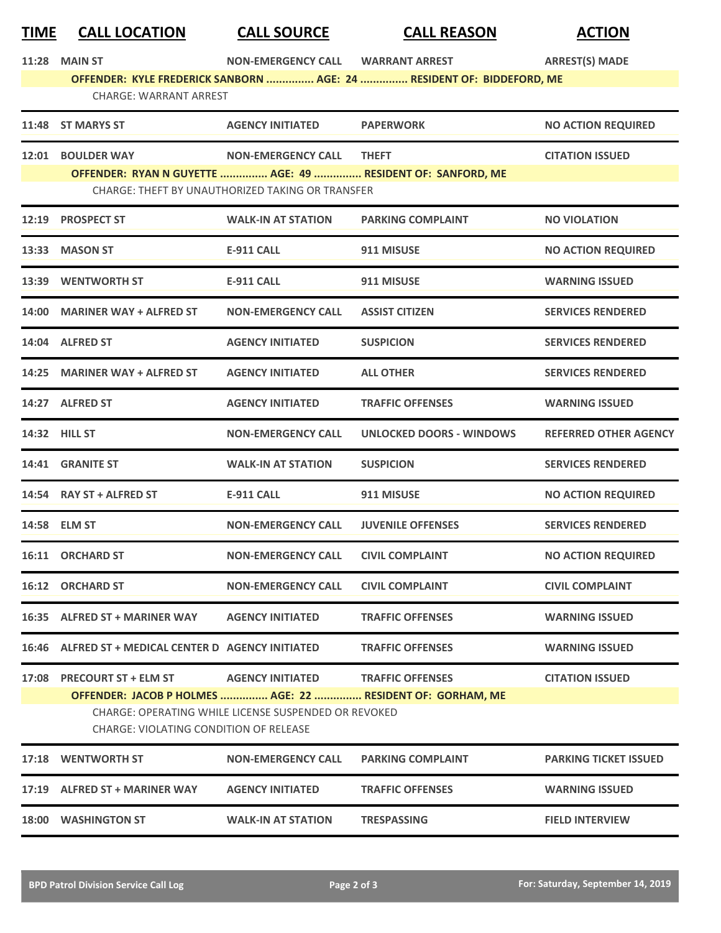| <u>TIME</u> | <b>CALL LOCATION</b>                                                                                  | <b>CALL SOURCE</b>                 | <b>CALL REASON</b>                                                    | <b>ACTION</b>                |  |
|-------------|-------------------------------------------------------------------------------------------------------|------------------------------------|-----------------------------------------------------------------------|------------------------------|--|
|             | <b>11:28 MAIN ST</b>                                                                                  | <b>NON-EMERGENCY CALL</b>          | <b>WARRANT ARREST</b>                                                 | <b>ARREST(S) MADE</b>        |  |
|             | <b>CHARGE: WARRANT ARREST</b>                                                                         |                                    | OFFENDER: KYLE FREDERICK SANBORN  AGE: 24  RESIDENT OF: BIDDEFORD, ME |                              |  |
|             | 11:48 ST MARYS ST                                                                                     | <b>AGENCY INITIATED</b>            | <b>PAPERWORK</b>                                                      | <b>NO ACTION REQUIRED</b>    |  |
| 12:01       | <b>BOULDER WAY</b>                                                                                    | <b>NON-EMERGENCY CALL</b>          | <b>THEFT</b>                                                          | <b>CITATION ISSUED</b>       |  |
|             |                                                                                                       |                                    | OFFENDER: RYAN N GUYETTE  AGE: 49  RESIDENT OF: SANFORD, ME           |                              |  |
|             | <b>CHARGE: THEFT BY UNAUTHORIZED TAKING OR TRANSFER</b>                                               |                                    |                                                                       |                              |  |
|             | 12:19 PROSPECT ST                                                                                     | <b>WALK-IN AT STATION</b>          | <b>PARKING COMPLAINT</b>                                              | <b>NO VIOLATION</b>          |  |
|             | 13:33 MASON ST                                                                                        | <b>E-911 CALL</b>                  | 911 MISUSE                                                            | <b>NO ACTION REQUIRED</b>    |  |
|             | 13:39 WENTWORTH ST                                                                                    | <b>E-911 CALL</b>                  | 911 MISUSE                                                            | <b>WARNING ISSUED</b>        |  |
| 14:00       | <b>MARINER WAY + ALFRED ST</b>                                                                        | <b>NON-EMERGENCY CALL</b>          | <b>ASSIST CITIZEN</b>                                                 | <b>SERVICES RENDERED</b>     |  |
|             | 14:04 ALFRED ST                                                                                       | <b>AGENCY INITIATED</b>            | <b>SUSPICION</b>                                                      | <b>SERVICES RENDERED</b>     |  |
|             | 14:25 MARINER WAY + ALFRED ST                                                                         | <b>AGENCY INITIATED</b>            | <b>ALL OTHER</b>                                                      | <b>SERVICES RENDERED</b>     |  |
|             | 14:27 ALFRED ST                                                                                       | <b>AGENCY INITIATED</b>            | <b>TRAFFIC OFFENSES</b>                                               | <b>WARNING ISSUED</b>        |  |
|             | 14:32 HILL ST                                                                                         | <b>NON-EMERGENCY CALL</b>          | <b>UNLOCKED DOORS - WINDOWS</b>                                       | <b>REFERRED OTHER AGENCY</b> |  |
|             | 14:41 GRANITE ST                                                                                      | <b>WALK-IN AT STATION</b>          | <b>SUSPICION</b>                                                      | <b>SERVICES RENDERED</b>     |  |
|             | 14:54 RAY ST + ALFRED ST                                                                              | <b>E-911 CALL</b>                  | 911 MISUSE                                                            | <b>NO ACTION REQUIRED</b>    |  |
|             | 14:58 ELM ST                                                                                          | <b>NON-EMERGENCY CALL</b>          | <b>JUVENILE OFFENSES</b>                                              | <b>SERVICES RENDERED</b>     |  |
|             | 16:11 ORCHARD ST                                                                                      | NON-EMERGENCY CALL CIVIL COMPLAINT |                                                                       | <b>NO ACTION REQUIRED</b>    |  |
|             | 16:12 ORCHARD ST                                                                                      | <b>NON-EMERGENCY CALL</b>          | <b>CIVIL COMPLAINT</b>                                                | <b>CIVIL COMPLAINT</b>       |  |
|             | 16:35 ALFRED ST + MARINER WAY                                                                         | <b>AGENCY INITIATED</b>            | <b>TRAFFIC OFFENSES</b>                                               | <b>WARNING ISSUED</b>        |  |
|             | 16:46 ALFRED ST + MEDICAL CENTER D AGENCY INITIATED                                                   |                                    | <b>TRAFFIC OFFENSES</b>                                               | <b>WARNING ISSUED</b>        |  |
|             | 17:08 PRECOURT ST + ELM ST                                                                            | AGENCY INITIATED TRAFFIC OFFENSES  |                                                                       | <b>CITATION ISSUED</b>       |  |
|             |                                                                                                       |                                    | OFFENDER: JACOB P HOLMES  AGE: 22  RESIDENT OF: GORHAM, ME            |                              |  |
|             | CHARGE: OPERATING WHILE LICENSE SUSPENDED OR REVOKED<br><b>CHARGE: VIOLATING CONDITION OF RELEASE</b> |                                    |                                                                       |                              |  |
|             | 17:18 WENTWORTH ST                                                                                    | <b>NON-EMERGENCY CALL</b>          | <b>PARKING COMPLAINT</b>                                              | <b>PARKING TICKET ISSUED</b> |  |
|             | 17:19 ALFRED ST + MARINER WAY                                                                         | <b>AGENCY INITIATED</b>            | <b>TRAFFIC OFFENSES</b>                                               | <b>WARNING ISSUED</b>        |  |
|             | 18:00 WASHINGTON ST                                                                                   | <b>WALK-IN AT STATION</b>          | <b>TRESPASSING</b>                                                    | <b>FIELD INTERVIEW</b>       |  |